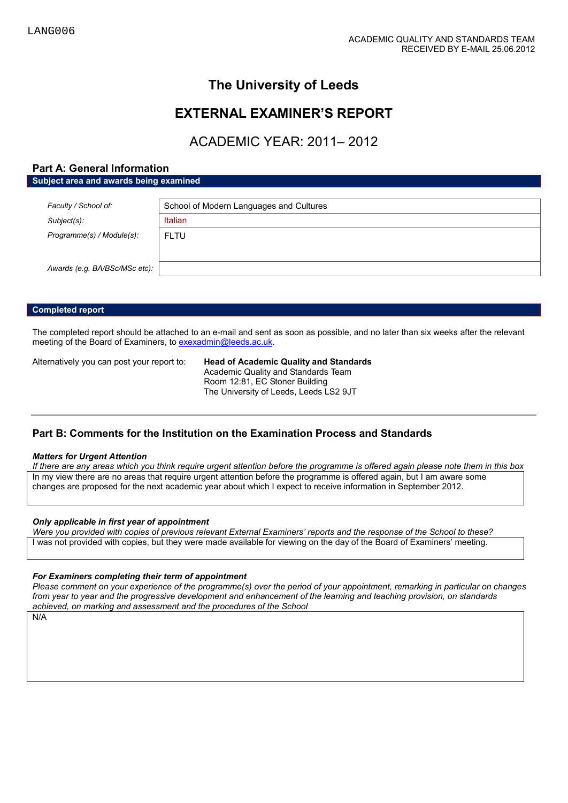# **The University of Leeds**

## **EXTERNAL EXAMINER'S REPORT**

# ACADEMIC YEAR: 2011– 2012

## **Part A: General Information**

**Subject area and awards being examined**

| Faculty / School of:          | School of Modern Languages and Cultures |  |
|-------------------------------|-----------------------------------------|--|
| Subject(s):                   | <b>Italian</b>                          |  |
| Programme(s) / Module(s):     | <b>FLTU</b>                             |  |
|                               |                                         |  |
| Awards (e.g. BA/BSc/MSc etc): |                                         |  |

### **Completed report**

The completed report should be attached to an e-mail and sent as soon as possible, and no later than six weeks after the relevant meeting of the Board of Examiners, t[o exexadmin@leeds.ac.uk.](mailto:exexadmin@leeds.ac.uk)

Alternatively you can post your report to: **Head of Academic Quality and Standards** Academic Quality and Standards Team Room 12:81, EC Stoner Building The University of Leeds, Leeds LS2 9JT

## **Part B: Comments for the Institution on the Examination Process and Standards**

#### *Matters for Urgent Attention*

*If there are any areas which you think require urgent attention before the programme is offered again please note them in this box* In my view there are no areas that require urgent attention before the programme is offered again, but I am aware some changes are proposed for the next academic year about which I expect to receive information in September 2012.

#### *Only applicable in first year of appointment*

*Were you provided with copies of previous relevant External Examiners' reports and the response of the School to these?*  I was not provided with copies, but they were made available for viewing on the day of the Board of Examiners' meeting.

### *For Examiners completing their term of appointment*

*Please comment on your experience of the programme(s) over the period of your appointment, remarking in particular on changes from year to year and the progressive development and enhancement of the learning and teaching provision, on standards achieved, on marking and assessment and the procedures of the School*

N/A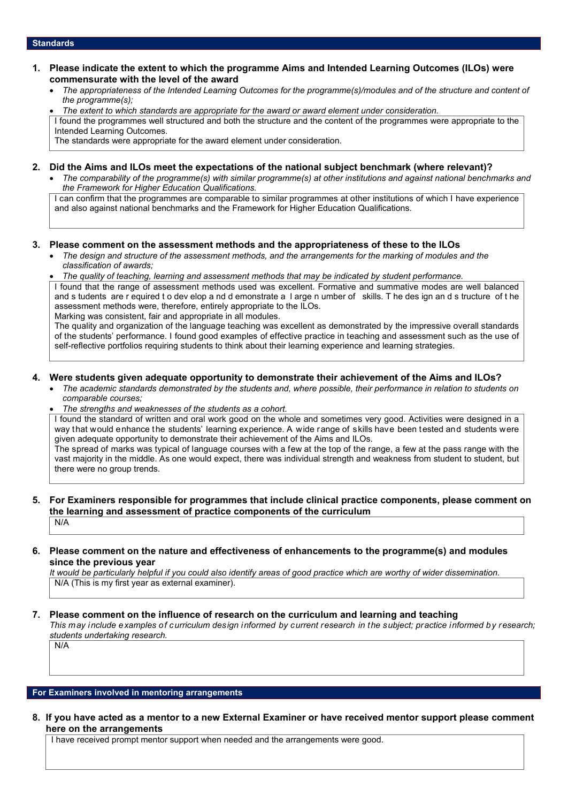#### **Standards**

### **1. Please indicate the extent to which the programme Aims and Intended Learning Outcomes (ILOs) were commensurate with the level of the award**

- *The appropriateness of the Intended Learning Outcomes for the programme(s)/modules and of the structure and content of the programme(s);*
- *The extent to which standards are appropriate for the award or award element under consideration.*

I found the programmes well structured and both the structure and the content of the programmes were appropriate to the Intended Learning Outcomes.

The standards were appropriate for the award element under consideration.

## **2. Did the Aims and ILOs meet the expectations of the national subject benchmark (where relevant)?**

• *The comparability of the programme(s) with similar programme(s) at other institutions and against national benchmarks and the Framework for Higher Education Qualifications.*

I can confirm that the programmes are comparable to similar programmes at other institutions of which I have experience and also against national benchmarks and the Framework for Higher Education Qualifications.

### **3. Please comment on the assessment methods and the appropriateness of these to the ILOs**

- *The design and structure of the assessment methods, and the arrangements for the marking of modules and the classification of awards;*
- *The quality of teaching, learning and assessment methods that may be indicated by student performance.*

I found that the range of assessment methods used was excellent. Formative and summative modes are well balanced and s tudents are r equired t o dev elop a nd d emonstrate a l arge n umber of skills. T he des ign an d s tructure of t he assessment methods were, therefore, entirely appropriate to the ILOs.

Marking was consistent, fair and appropriate in all modules.

The quality and organization of the language teaching was excellent as demonstrated by the impressive overall standards of the students' performance. I found good examples of effective practice in teaching and assessment such as the use of self-reflective portfolios requiring students to think about their learning experience and learning strategies.

#### **4. Were students given adequate opportunity to demonstrate their achievement of the Aims and ILOs?**

- *The academic standards demonstrated by the students and, where possible, their performance in relation to students on comparable courses;*
- *The strengths and weaknesses of the students as a cohort.*

I found the standard of written and oral work good on the whole and sometimes very good. Activities were designed in a way that would enhance the students' learning experience. A wide range of skills have been tested and students were given adequate opportunity to demonstrate their achievement of the Aims and ILOs.

The spread of marks was typical of language courses with a few at the top of the range, a few at the pass range with the vast majority in the middle. As one would expect, there was individual strength and weakness from student to student, but there were no group trends.

#### **5. For Examiners responsible for programmes that include clinical practice components, please comment on the learning and assessment of practice components of the curriculum** N/A

#### **6. Please comment on the nature and effectiveness of enhancements to the programme(s) and modules since the previous year**

*It would be particularly helpful if you could also identify areas of good practice which are worthy of wider dissemination.*  N/A (This is my first year as external examiner).

### **7. Please comment on the influence of research on the curriculum and learning and teaching**

*This may include examples of curriculum design informed by current research in the subject; practice informed by research; students undertaking research.* 

#### **For Examiners involved in mentoring arrangements**

N/A

**8. If you have acted as a mentor to a new External Examiner or have received mentor support please comment here on the arrangements**

I have received prompt mentor support when needed and the arrangements were good.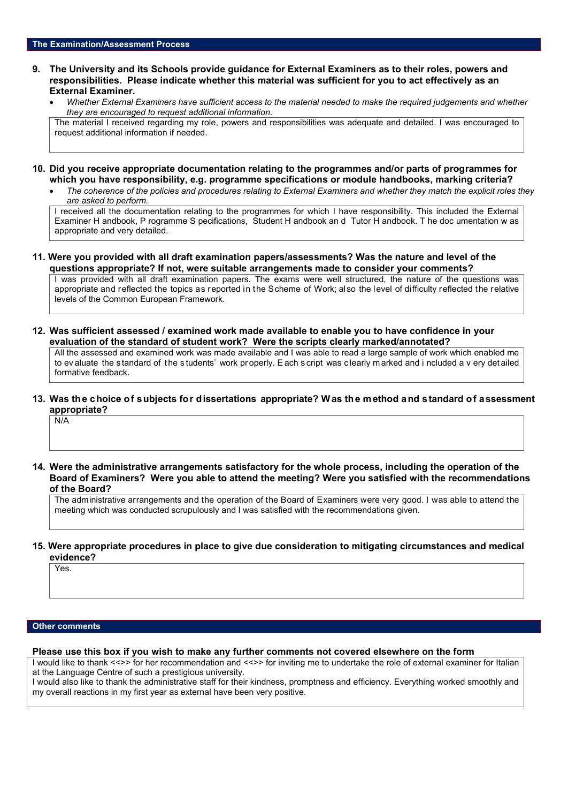#### **9. The University and its Schools provide guidance for External Examiners as to their roles, powers and responsibilities. Please indicate whether this material was sufficient for you to act effectively as an External Examiner.**

• *Whether External Examiners have sufficient access to the material needed to make the required judgements and whether they are encouraged to request additional information.*

The material I received regarding my role, powers and responsibilities was adequate and detailed. I was encouraged to request additional information if needed.

- **10. Did you receive appropriate documentation relating to the programmes and/or parts of programmes for which you have responsibility, e.g. programme specifications or module handbooks, marking criteria?**
	- *The coherence of the policies and procedures relating to External Examiners and whether they match the explicit roles they are asked to perform.*

I received all the documentation relating to the programmes for which I have responsibility. This included the External Examiner H andbook, P rogramme S pecifications, Student H andbook an d Tutor H andbook. T he doc umentation w as appropriate and very detailed.

#### **11. Were you provided with all draft examination papers/assessments? Was the nature and level of the questions appropriate? If not, were suitable arrangements made to consider your comments?**

I was provided with all draft examination papers. The exams were well structured, the nature of the questions was appropriate and reflected the topics as reported in the Scheme of Work; also the level of difficulty reflected the relative levels of the Common European Framework.

**12. Was sufficient assessed / examined work made available to enable you to have confidence in your evaluation of the standard of student work? Were the scripts clearly marked/annotated?** 

All the assessed and examined work was made available and I was able to read a large sample of work which enabled me to ev aluate the s tandard of t he s tudents' work pr operly. E ach s cript was c learly m arked and i ncluded a v ery det ailed formative feedback.

#### **13. Was the choice of subjects for dissertations appropriate? Was the method and standard of assessment appropriate?**

N/A

**14. Were the administrative arrangements satisfactory for the whole process, including the operation of the Board of Examiners? Were you able to attend the meeting? Were you satisfied with the recommendations of the Board?**

The administrative arrangements and the operation of the Board of Examiners were very good. I was able to attend the meeting which was conducted scrupulously and I was satisfied with the recommendations given.

#### **15. Were appropriate procedures in place to give due consideration to mitigating circumstances and medical evidence?**

Yes.

#### **Other comments**

#### **Please use this box if you wish to make any further comments not covered elsewhere on the form**

I would like to thank <<>> for her recommendation and <<>> for inviting me to undertake the role of external examiner for Italian at the Language Centre of such a prestigious university.

I would also like to thank the administrative staff for their kindness, promptness and efficiency. Everything worked smoothly and my overall reactions in my first year as external have been very positive.